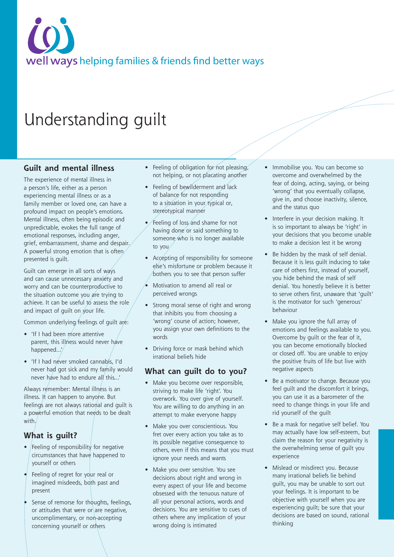# well ways helping families & friends find better ways

## Understanding guilt

#### **Guilt and mental illness**

The experience of mental illness in a person's life, either as a person experiencing mental illness or as a family member or loved one, can have a profound impact on people's emotions. Mental illness, often being episodic and unpredictable, evokes the full range of emotional responses, including anger, grief, embarrassment, shame and despair. A powerful strong emotion that is often presented is guilt.

Guilt can emerge in all sorts of ways and can cause unnecessary anxiety and worry and can be counterproductive to the situation outcome you are trying to achieve. It can be useful to assess the role and impact of quilt on  $\sqrt{x}$  life.

Common underlying feelings of guilt are:

- 'If I had been more attentive parent, this illness would never have happened...'
- 'If I had never smoked cannabis, I'd never had got sick and my family would never have had to endure all this...'

Always remember: Mental illness is an illness. It can happen to anyone. But feelings are not always rational and guilt is a powerful emotion that needs to be dealt with.

#### **What is guilt?**

- Feeling of responsibility for negative circumstances that have happened to yourself or others
- Feeling of regret for your real or imagined misdeeds, both past and present
- Sense of remorse for thoughts, feelings, or attitudes that were or are negative, uncomplimentary, or non-accepting concerning yourself or others
- Feeling of obligation for not pleasing, not helping, or not placating another
- Feeling of bewilderment and lack of balance for not responding to a situation in your typical or, stereotypical manner
- Feeling of loss and shame for not having done or said something to someone who is no longer available to you
- Accepting of responsibility for someone else's misfortune or problem because it bothers you to see that person suffer
- Motivation to amend all real or perceived wrongs
- Strong moral sense of right and wrong that inhibits you from choosing a 'wrong' course of action; however, you assign your own definitions to the words
- Driving force or mask behind which irrational beliefs hide

#### **What can guilt do to you?**

- Make you become over responsible, striving to make life 'right'. You overwork. You over give of yourself. You are willing to do anything in an attempt to make everyone happy
- Make you over conscientious. You fret over every action you take as to its possible negative consequence to others, even if this means that you must ignore your needs and wants
- Make you over sensitive. You see decisions about right and wrong in every aspect of your life and become obsessed with the tenuous nature of all your personal actions, words and decisions. You are sensitive to cues of others where any implication of your wrong doing is intimated
- Immobilise you. You can become so overcome and overwhelmed by the fear of doing, acting, saying, or being 'wrong' that you eventually collapse, give in, and choose inactivity, silence, and the status quo
- Interfere in your decision making. It is so important to always be 'right' in your decisions that you become unable to make a decision lest it be wrong
- Be hidden by the mask of self denial. Because it is less guilt inducing to take care of others first, instead of yourself, you hide behind the mask of self denial. You honestly believe it is better to serve others first, unaware that 'guilt' is the motivator for such 'generous' behaviour
- Make you ignore the full array of emotions and feelings available to you. Overcome by guilt or the fear of it, you can become emotionally blocked or closed off. You are unable to enjoy the positive fruits of life but live with negative aspects
- Be a motivator to change. Because you feel guilt and the discomfort it brings, you can use it as a barometer of the need to change things in your life and rid yourself of the guilt
- Be a mask for negative self belief. You may actually have low self-esteem, but claim the reason for your negativity is the overwhelming sense of guilt you experience
- Mislead or misdirect you. Because many irrational beliefs lie behind guilt, you may be unable to sort out your feelings. It is important to be objective with yourself when you are experiencing guilt; be sure that your decisions are based on sound, rational thinking